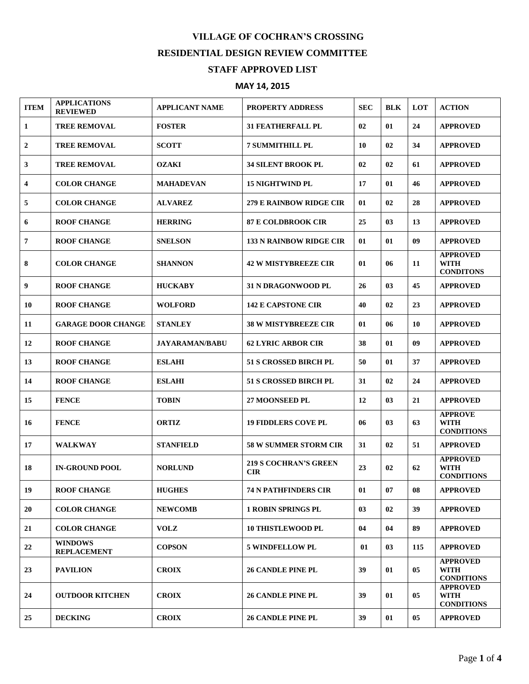## **VILLAGE OF COCHRAN'S CROSSING RESIDENTIAL DESIGN REVIEW COMMITTEE STAFF APPROVED LIST**

## **MAY 14, 2015**

| <b>ITEM</b> | <b>APPLICATIONS</b><br><b>REVIEWED</b> | <b>APPLICANT NAME</b> | <b>PROPERTY ADDRESS</b>                    | <b>SEC</b> | <b>BLK</b> | LOT | <b>ACTION</b>                                       |
|-------------|----------------------------------------|-----------------------|--------------------------------------------|------------|------------|-----|-----------------------------------------------------|
| 1           | <b>TREE REMOVAL</b>                    | <b>FOSTER</b>         | <b>31 FEATHERFALL PL</b>                   | 02         | 01         | 24  | <b>APPROVED</b>                                     |
| 2           | <b>TREE REMOVAL</b>                    | <b>SCOTT</b>          | <b>7 SUMMITHILL PL</b>                     | 10         | 02         | 34  | <b>APPROVED</b>                                     |
| 3           | <b>TREE REMOVAL</b>                    | <b>OZAKI</b>          | <b>34 SILENT BROOK PL</b>                  | 02         | 02         | 61  | <b>APPROVED</b>                                     |
| 4           | <b>COLOR CHANGE</b>                    | <b>MAHADEVAN</b>      | <b>15 NIGHTWIND PL</b>                     | 17         | 01         | 46  | <b>APPROVED</b>                                     |
| 5           | <b>COLOR CHANGE</b>                    | <b>ALVAREZ</b>        | 279 E RAINBOW RIDGE CIR                    | 01         | 02         | 28  | <b>APPROVED</b>                                     |
| 6           | <b>ROOF CHANGE</b>                     | <b>HERRING</b>        | <b>87 E COLDBROOK CIR</b>                  | 25         | 03         | 13  | <b>APPROVED</b>                                     |
| 7           | <b>ROOF CHANGE</b>                     | <b>SNELSON</b>        | <b>133 N RAINBOW RIDGE CIR</b>             | 01         | 01         | 09  | <b>APPROVED</b>                                     |
| 8           | <b>COLOR CHANGE</b>                    | <b>SHANNON</b>        | <b>42 W MISTYBREEZE CIR</b>                | 01         | 06         | 11  | <b>APPROVED</b><br><b>WITH</b><br><b>CONDITONS</b>  |
| 9           | <b>ROOF CHANGE</b>                     | <b>HUCKABY</b>        | <b>31 N DRAGONWOOD PL</b>                  | 26         | 03         | 45  | <b>APPROVED</b>                                     |
| 10          | <b>ROOF CHANGE</b>                     | <b>WOLFORD</b>        | <b>142 E CAPSTONE CIR</b>                  | 40         | 02         | 23  | <b>APPROVED</b>                                     |
| 11          | <b>GARAGE DOOR CHANGE</b>              | <b>STANLEY</b>        | <b>38 W MISTYBREEZE CIR</b>                | 01         | 06         | 10  | <b>APPROVED</b>                                     |
| 12          | <b>ROOF CHANGE</b>                     | <b>JAYARAMAN/BABU</b> | <b>62 LYRIC ARBOR CIR</b>                  | 38         | 01         | 09  | <b>APPROVED</b>                                     |
| 13          | <b>ROOF CHANGE</b>                     | <b>ESLAHI</b>         | <b>51 S CROSSED BIRCH PL</b>               | 50         | 01         | 37  | <b>APPROVED</b>                                     |
| 14          | <b>ROOF CHANGE</b>                     | <b>ESLAHI</b>         | <b>51 S CROSSED BIRCH PL</b>               | 31         | 02         | 24  | <b>APPROVED</b>                                     |
| 15          | <b>FENCE</b>                           | <b>TOBIN</b>          | <b>27 MOONSEED PL</b>                      | 12         | 03         | 21  | <b>APPROVED</b>                                     |
| 16          | <b>FENCE</b>                           | <b>ORTIZ</b>          | <b>19 FIDDLERS COVE PL</b>                 | 06         | 03         | 63  | <b>APPROVE</b><br>WITH<br><b>CONDITIONS</b>         |
| 17          | <b>WALKWAY</b>                         | <b>STANFIELD</b>      | <b>58 W SUMMER STORM CIR</b>               | 31         | 02         | 51  | <b>APPROVED</b>                                     |
| 18          | <b>IN-GROUND POOL</b>                  | <b>NORLUND</b>        | <b>219 S COCHRAN'S GREEN</b><br><b>CIR</b> | 23         | 02         | 62  | <b>APPROVED</b><br>WITH<br><b>CONDITIONS</b>        |
| 19          | <b>ROOF CHANGE</b>                     | <b>HUGHES</b>         | <b>74 N PATHFINDERS CIR</b>                | 01         | 07         | 08  | <b>APPROVED</b>                                     |
| 20          | <b>COLOR CHANGE</b>                    | <b>NEWCOMB</b>        | <b>1 ROBIN SPRINGS PL</b>                  | 03         | 02         | 39  | <b>APPROVED</b>                                     |
| 21          | <b>COLOR CHANGE</b>                    | <b>VOLZ</b>           | <b>10 THISTLEWOOD PL</b>                   | 04         | 04         | 89  | <b>APPROVED</b>                                     |
| 22          | <b>WINDOWS</b><br><b>REPLACEMENT</b>   | <b>COPSON</b>         | <b>5 WINDFELLOW PL</b>                     | 01         | 03         | 115 | <b>APPROVED</b>                                     |
| 23          | <b>PAVILION</b>                        | <b>CROIX</b>          | <b>26 CANDLE PINE PL</b>                   | 39         | 01         | 05  | <b>APPROVED</b><br><b>WITH</b><br><b>CONDITIONS</b> |
| 24          | <b>OUTDOOR KITCHEN</b>                 | <b>CROIX</b>          | <b>26 CANDLE PINE PL</b>                   | 39         | 01         | 05  | <b>APPROVED</b><br>WITH<br><b>CONDITIONS</b>        |
| 25          | <b>DECKING</b>                         | <b>CROIX</b>          | <b>26 CANDLE PINE PL</b>                   | 39         | 01         | 05  | <b>APPROVED</b>                                     |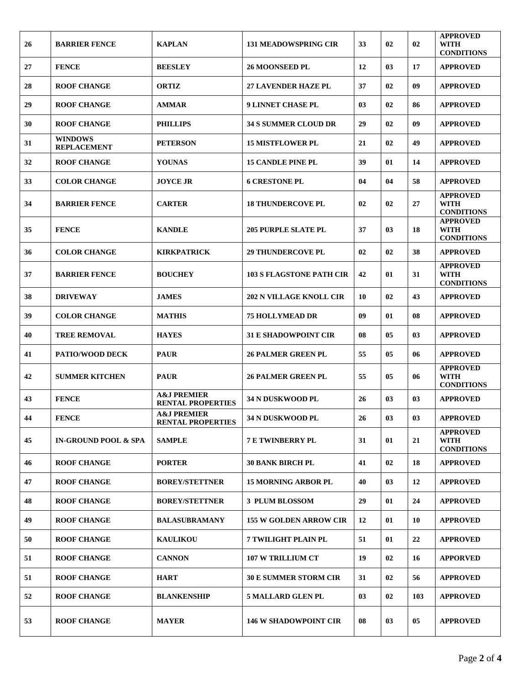| 26 | <b>BARRIER FENCE</b>                 | <b>KAPLAN</b>                                      | <b>131 MEADOWSPRING CIR</b>     | 33 | 02 | 02  | <b>APPROVED</b><br><b>WITH</b><br><b>CONDITIONS</b> |
|----|--------------------------------------|----------------------------------------------------|---------------------------------|----|----|-----|-----------------------------------------------------|
| 27 | <b>FENCE</b>                         | <b>BEESLEY</b>                                     | <b>26 MOONSEED PL</b>           | 12 | 03 | 17  | <b>APPROVED</b>                                     |
| 28 | <b>ROOF CHANGE</b>                   | <b>ORTIZ</b>                                       | <b>27 LAVENDER HAZE PL</b>      | 37 | 02 | 09  | <b>APPROVED</b>                                     |
| 29 | <b>ROOF CHANGE</b>                   | <b>AMMAR</b>                                       | 9 LINNET CHASE PL               | 03 | 02 | 86  | <b>APPROVED</b>                                     |
| 30 | <b>ROOF CHANGE</b>                   | <b>PHILLIPS</b>                                    | <b>34 S SUMMER CLOUD DR</b>     | 29 | 02 | 09  | <b>APPROVED</b>                                     |
| 31 | <b>WINDOWS</b><br><b>REPLACEMENT</b> | <b>PETERSON</b>                                    | <b>15 MISTFLOWER PL</b>         | 21 | 02 | 49  | <b>APPROVED</b>                                     |
| 32 | <b>ROOF CHANGE</b>                   | <b>YOUNAS</b>                                      | <b>15 CANDLE PINE PL</b>        | 39 | 01 | 14  | <b>APPROVED</b>                                     |
| 33 | <b>COLOR CHANGE</b>                  | <b>JOYCE JR</b>                                    | <b>6 CRESTONE PL</b>            | 04 | 04 | 58  | <b>APPROVED</b>                                     |
| 34 | <b>BARRIER FENCE</b>                 | <b>CARTER</b>                                      | <b>18 THUNDERCOVE PL</b>        | 02 | 02 | 27  | <b>APPROVED</b><br><b>WITH</b><br><b>CONDITIONS</b> |
| 35 | <b>FENCE</b>                         | <b>KANDLE</b>                                      | <b>205 PURPLE SLATE PL</b>      | 37 | 03 | 18  | <b>APPROVED</b><br><b>WITH</b><br><b>CONDITIONS</b> |
| 36 | <b>COLOR CHANGE</b>                  | <b>KIRKPATRICK</b>                                 | <b>29 THUNDERCOVE PL</b>        | 02 | 02 | 38  | <b>APPROVED</b>                                     |
| 37 | <b>BARRIER FENCE</b>                 | <b>BOUCHEY</b>                                     | <b>103 S FLAGSTONE PATH CIR</b> | 42 | 01 | 31  | <b>APPROVED</b><br><b>WITH</b><br><b>CONDITIONS</b> |
| 38 | <b>DRIVEWAY</b>                      | <b>JAMES</b>                                       | <b>202 N VILLAGE KNOLL CIR</b>  | 10 | 02 | 43  | <b>APPROVED</b>                                     |
| 39 | <b>COLOR CHANGE</b>                  | <b>MATHIS</b>                                      | <b>75 HOLLYMEAD DR</b>          | 09 | 01 | 08  | <b>APPROVED</b>                                     |
| 40 | <b>TREE REMOVAL</b>                  | <b>HAYES</b>                                       | <b>31 E SHADOWPOINT CIR</b>     | 08 | 05 | 03  | <b>APPROVED</b>                                     |
| 41 | <b>PATIO/WOOD DECK</b>               | <b>PAUR</b>                                        | <b>26 PALMER GREEN PL</b>       | 55 | 05 | 06  | <b>APPROVED</b>                                     |
| 42 | <b>SUMMER KITCHEN</b>                | <b>PAUR</b>                                        | <b>26 PALMER GREEN PL</b>       | 55 | 05 | 06  | <b>APPROVED</b><br><b>WITH</b><br><b>CONDITIONS</b> |
| 43 | <b>FENCE</b>                         | <b>A&amp;J PREMIER</b><br><b>RENTAL PROPERTIES</b> | <b>34 N DUSKWOOD PL</b>         | 26 | 03 | 03  | <b>APPROVED</b>                                     |
| 44 | <b>FENCE</b>                         | <b>A&amp;J PREMIER</b><br><b>RENTAL PROPERTIES</b> | 34 N DUSKWOOD PL                | 26 | 03 | 03  | <b>APPROVED</b>                                     |
| 45 | <b>IN-GROUND POOL &amp; SPA</b>      | <b>SAMPLE</b>                                      | <b>7 E TWINBERRY PL</b>         | 31 | 01 | 21  | <b>APPROVED</b><br><b>WITH</b><br><b>CONDITIONS</b> |
| 46 | <b>ROOF CHANGE</b>                   | <b>PORTER</b>                                      | <b>30 BANK BIRCH PL</b>         | 41 | 02 | 18  | <b>APPROVED</b>                                     |
| 47 | <b>ROOF CHANGE</b>                   | <b>BOREY/STETTNER</b>                              | <b>15 MORNING ARBOR PL</b>      | 40 | 03 | 12  | <b>APPROVED</b>                                     |
| 48 | <b>ROOF CHANGE</b>                   | <b>BOREY/STETTNER</b>                              | 3 PLUM BLOSSOM                  | 29 | 01 | 24  | <b>APPROVED</b>                                     |
| 49 | <b>ROOF CHANGE</b>                   | <b>BALASUBRAMANY</b>                               | <b>155 W GOLDEN ARROW CIR</b>   | 12 | 01 | 10  | <b>APPROVED</b>                                     |
| 50 | <b>ROOF CHANGE</b>                   | <b>KAULIKOU</b>                                    | <b>7 TWILIGHT PLAIN PL</b>      | 51 | 01 | 22  | <b>APPROVED</b>                                     |
| 51 | <b>ROOF CHANGE</b>                   | <b>CANNON</b>                                      | <b>107 W TRILLIUM CT</b>        | 19 | 02 | 16  | <b>APPORVED</b>                                     |
| 51 | <b>ROOF CHANGE</b>                   | <b>HART</b>                                        | <b>30 E SUMMER STORM CIR</b>    | 31 | 02 | 56  | <b>APPROVED</b>                                     |
| 52 | <b>ROOF CHANGE</b>                   | <b>BLANKENSHIP</b>                                 | <b>5 MALLARD GLEN PL</b>        | 03 | 02 | 103 | <b>APPROVED</b>                                     |
| 53 | <b>ROOF CHANGE</b>                   | <b>MAYER</b>                                       | <b>146 W SHADOWPOINT CIR</b>    | 08 | 03 | 05  | <b>APPROVED</b>                                     |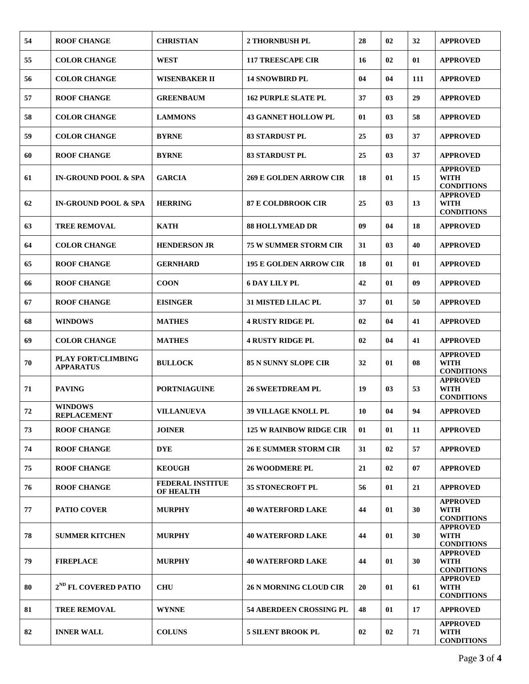| 54 | <b>ROOF CHANGE</b>                            | <b>CHRISTIAN</b>                            | <b>2 THORNBUSH PL</b>          | 28        | 02             | 32  | <b>APPROVED</b>                                     |
|----|-----------------------------------------------|---------------------------------------------|--------------------------------|-----------|----------------|-----|-----------------------------------------------------|
| 55 | <b>COLOR CHANGE</b>                           | <b>WEST</b>                                 | <b>117 TREESCAPE CIR</b>       | 16        | 02             | 01  | <b>APPROVED</b>                                     |
| 56 | <b>COLOR CHANGE</b>                           | <b>WISENBAKER II</b>                        | <b>14 SNOWBIRD PL</b>          | 04        | 04             | 111 | <b>APPROVED</b>                                     |
| 57 | <b>ROOF CHANGE</b>                            | <b>GREENBAUM</b>                            | <b>162 PURPLE SLATE PL</b>     | 37        | 03             | 29  | <b>APPROVED</b>                                     |
| 58 | <b>COLOR CHANGE</b>                           | <b>LAMMONS</b>                              | <b>43 GANNET HOLLOW PL</b>     | 01        | 03             | 58  | <b>APPROVED</b>                                     |
| 59 | <b>COLOR CHANGE</b>                           | <b>BYRNE</b>                                | <b>83 STARDUST PL</b>          | 25        | 0 <sub>3</sub> | 37  | <b>APPROVED</b>                                     |
| 60 | <b>ROOF CHANGE</b>                            | <b>BYRNE</b>                                | <b>83 STARDUST PL</b>          | 25        | 03             | 37  | <b>APPROVED</b>                                     |
| 61 | <b>IN-GROUND POOL &amp; SPA</b>               | <b>GARCIA</b>                               | <b>269 E GOLDEN ARROW CIR</b>  | 18        | 01             | 15  | <b>APPROVED</b><br><b>WITH</b><br><b>CONDITIONS</b> |
| 62 | <b>IN-GROUND POOL &amp; SPA</b>               | <b>HERRING</b>                              | <b>87 E COLDBROOK CIR</b>      | 25        | 03             | 13  | <b>APPROVED</b><br><b>WITH</b><br><b>CONDITIONS</b> |
| 63 | <b>TREE REMOVAL</b>                           | <b>KATH</b>                                 | <b>88 HOLLYMEAD DR</b>         | 09        | 04             | 18  | <b>APPROVED</b>                                     |
| 64 | <b>COLOR CHANGE</b>                           | <b>HENDERSON JR</b>                         | <b>75 W SUMMER STORM CIR</b>   | 31        | 03             | 40  | <b>APPROVED</b>                                     |
| 65 | <b>ROOF CHANGE</b>                            | <b>GERNHARD</b>                             | <b>195 E GOLDEN ARROW CIR</b>  | 18        | 01             | 01  | <b>APPROVED</b>                                     |
| 66 | <b>ROOF CHANGE</b>                            | <b>COON</b>                                 | <b>6 DAY LILY PL</b>           | 42        | 01             | 09  | <b>APPROVED</b>                                     |
| 67 | <b>ROOF CHANGE</b>                            | <b>EISINGER</b>                             | <b>31 MISTED LILAC PL</b>      | 37        | 01             | 50  | <b>APPROVED</b>                                     |
| 68 | <b>WINDOWS</b>                                | <b>MATHES</b>                               | <b>4 RUSTY RIDGE PL</b>        | 02        | 04             | 41  | <b>APPROVED</b>                                     |
| 69 | <b>COLOR CHANGE</b>                           | <b>MATHES</b>                               | <b>4 RUSTY RIDGE PL</b>        | 02        | 04             | 41  | <b>APPROVED</b>                                     |
| 70 | <b>PLAY FORT/CLIMBING</b><br><b>APPARATUS</b> | <b>BULLOCK</b>                              | <b>85 N SUNNY SLOPE CIR</b>    | 32        | 01             | 08  | <b>APPROVED</b><br><b>WITH</b><br><b>CONDITIONS</b> |
| 71 | <b>PAVING</b>                                 | <b>PORTNIAGUINE</b>                         | <b>26 SWEETDREAM PL</b>        | 19        | 03             | 53  | <b>APPROVED</b><br><b>WITH</b><br><b>CONDITIONS</b> |
| 72 | <b>WINDOWS</b><br><b>REPLACEMENT</b>          | <b>VILLANUEVA</b>                           | <b>39 VILLAGE KNOLL PL</b>     | 10        | 04             | 94  | <b>APPROVED</b>                                     |
| 73 | <b>ROOF CHANGE</b>                            | <b>JOINER</b>                               | <b>125 W RAINBOW RIDGE CIR</b> | 01        | 01             | 11  | <b>APPROVED</b>                                     |
| 74 | <b>ROOF CHANGE</b>                            | <b>DYE</b>                                  | <b>26 E SUMMER STORM CIR</b>   | 31        | 02             | 57  | <b>APPROVED</b>                                     |
| 75 | <b>ROOF CHANGE</b>                            | <b>KEOUGH</b>                               | <b>26 WOODMERE PL</b>          | 21        | 02             | 07  | <b>APPROVED</b>                                     |
| 76 | <b>ROOF CHANGE</b>                            | <b>FEDERAL INSTITUE</b><br><b>OF HEALTH</b> | <b>35 STONECROFT PL</b>        | 56        | 01             | 21  | <b>APPROVED</b>                                     |
| 77 | <b>PATIO COVER</b>                            | <b>MURPHY</b>                               | <b>40 WATERFORD LAKE</b>       | 44        | 01             | 30  | <b>APPROVED</b><br><b>WITH</b><br><b>CONDITIONS</b> |
| 78 | <b>SUMMER KITCHEN</b>                         | <b>MURPHY</b>                               | <b>40 WATERFORD LAKE</b>       | 44        | 01             | 30  | <b>APPROVED</b><br><b>WITH</b><br><b>CONDITIONS</b> |
| 79 | <b>FIREPLACE</b>                              | <b>MURPHY</b>                               | <b>40 WATERFORD LAKE</b>       | 44        | 01             | 30  | <b>APPROVED</b><br><b>WITH</b><br><b>CONDITIONS</b> |
| 80 | 2 <sup>ND</sup> FL COVERED PATIO              | <b>CHU</b>                                  | <b>26 N MORNING CLOUD CIR</b>  | <b>20</b> | 01             | 61  | <b>APPROVED</b><br><b>WITH</b><br><b>CONDITIONS</b> |
| 81 | <b>TREE REMOVAL</b>                           | <b>WYNNE</b>                                | <b>54 ABERDEEN CROSSING PL</b> | 48        | 01             | 17  | <b>APPROVED</b>                                     |
| 82 | <b>INNER WALL</b>                             | <b>COLUNS</b>                               | <b>5 SILENT BROOK PL</b>       | 02        | 02             | 71  | <b>APPROVED</b><br><b>WITH</b><br><b>CONDITIONS</b> |